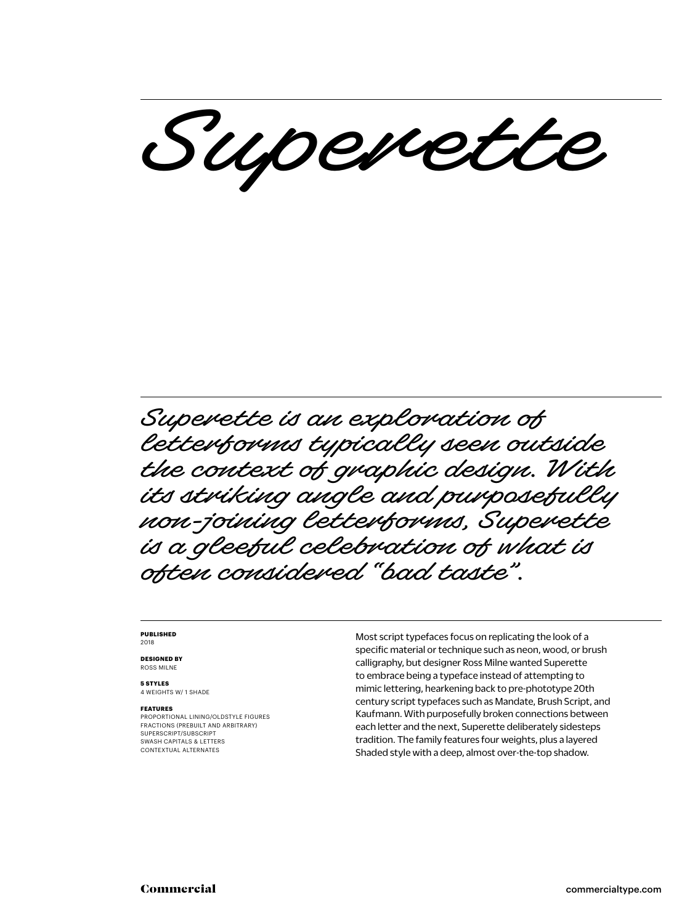Superette

Superette is an exploration of letterforms typically seen outside the context of graphic design. With its striking angle and purposefully non-joining letterforms, Superette is a gleeful celebration of what is often considered "bad taste".

#### **PUBLISHED** 2018

**DESIGNED BY** ROSS MILNE

**5 STYLES** 4 WEIGHTS W/ 1 SHADE

#### **FEATURES**

PROPORTIONAL LINING/OLDSTYLE FIGURES FRACTIONS (PREBUILT AND ARBITRARY) SUPERSCRIPT/SUBSCRIPT SWASH CAPITALS & LETTERS CONTEXTUAL ALTERNATES

Most script typefaces focus on replicating the look of a specific material or technique such as neon, wood, or brush calligraphy, but designer Ross Milne wanted Superette to embrace being a typeface instead of attempting to mimic lettering, hearkening back to pre-phototype 20th century script typefaces such as Mandate, Brush Script, and Kaufmann. With purposefully broken connections between each letter and the next, Superette deliberately sidesteps tradition. The family features four weights, plus a layered Shaded style with a deep, almost over-the-top shadow.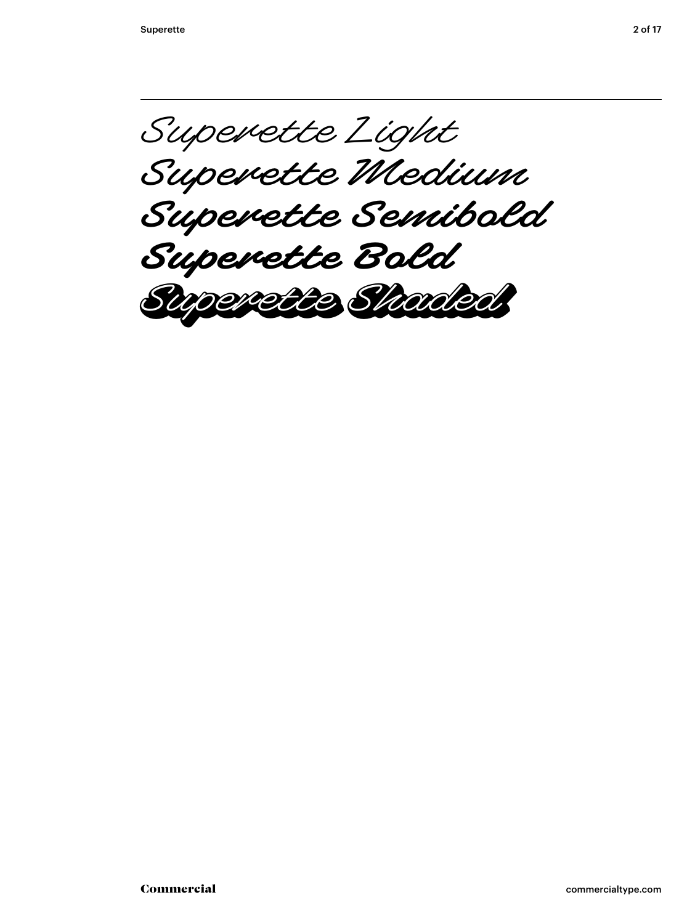Superette Light Superette Medium **Superette Semibold Superette Bold** Superette Shaded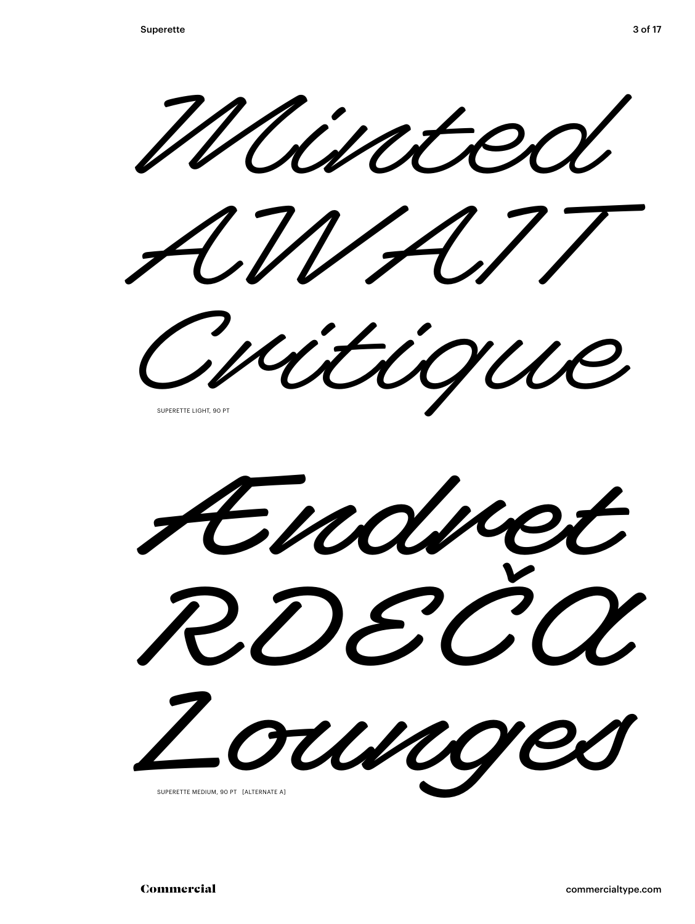Minted



Critique SUPERETTE LIGHT, 90 PT

Ændret RDEČA ounges SUPERETTE MEDIUM, 90 PT [ALTERNATE A]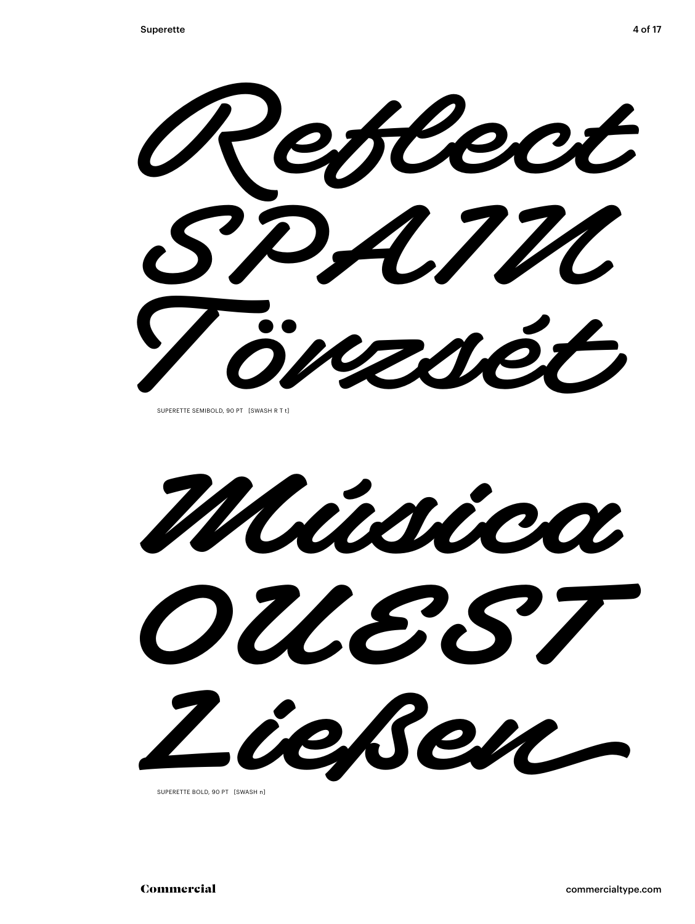**Reflect SPAIN Törzsét**

SUPERETTE SEMIBOLD, 90 PT [SWASH R T t]

**Música OUEST Ließen**

SUPERETTE BOLD, 90 PT [SWASH n]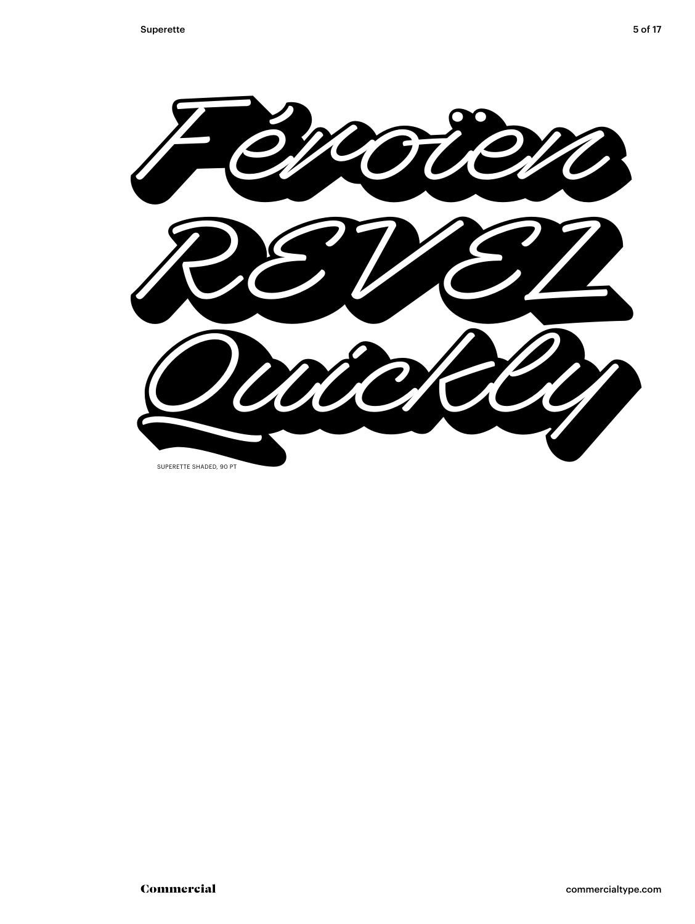

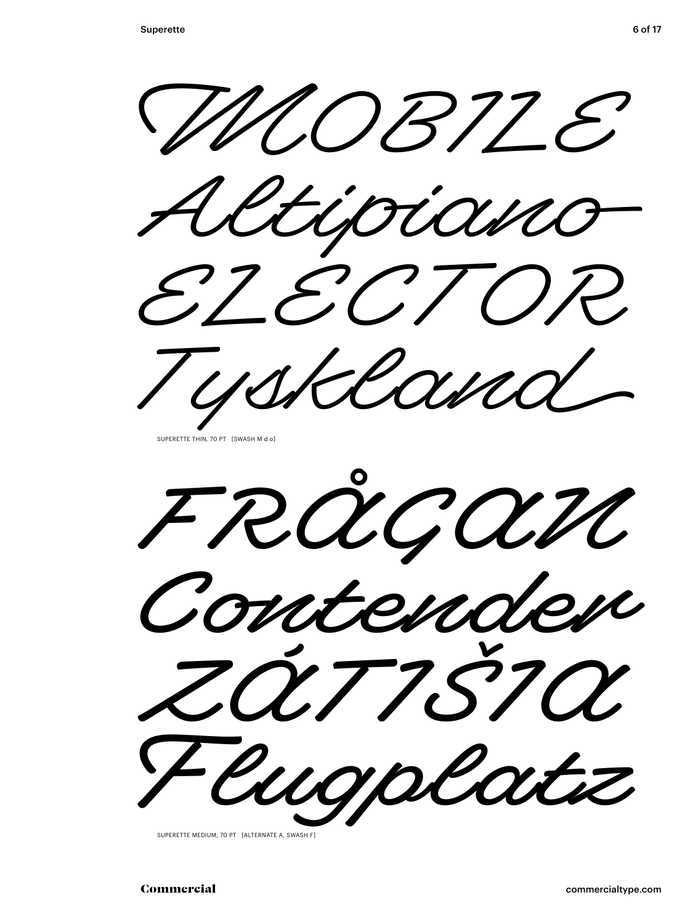

Tyskland

SUPERETTE THIN, 70 PT [SWASH M d o]



SUPERETTE MEDIUM, 70 PT [ALTERNATE A, SWASH F]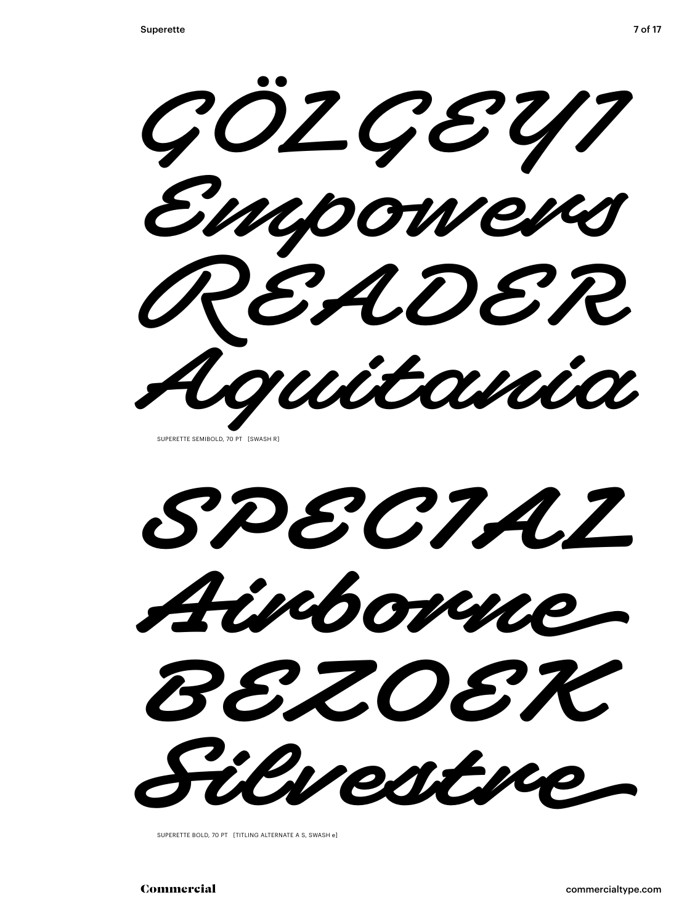GÖZGE217 Empowers READER Aguitania

SUPERETTE SEMIBOLD, 70 PT [SWASH R]

SDECTAI Aimborne BEZOEK Silvestre,

SUPERETTE BOLD, 70 PT [TITLING ALTERNATE A S, SWASH e]

Commercial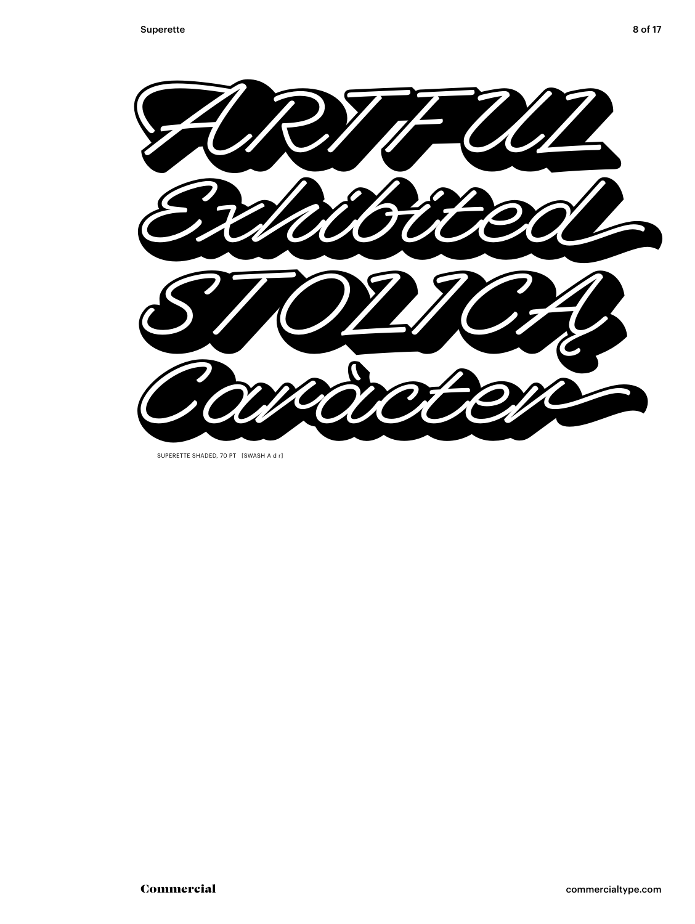

SUPERETTE SHADED, 70 PT [SWASH A d r]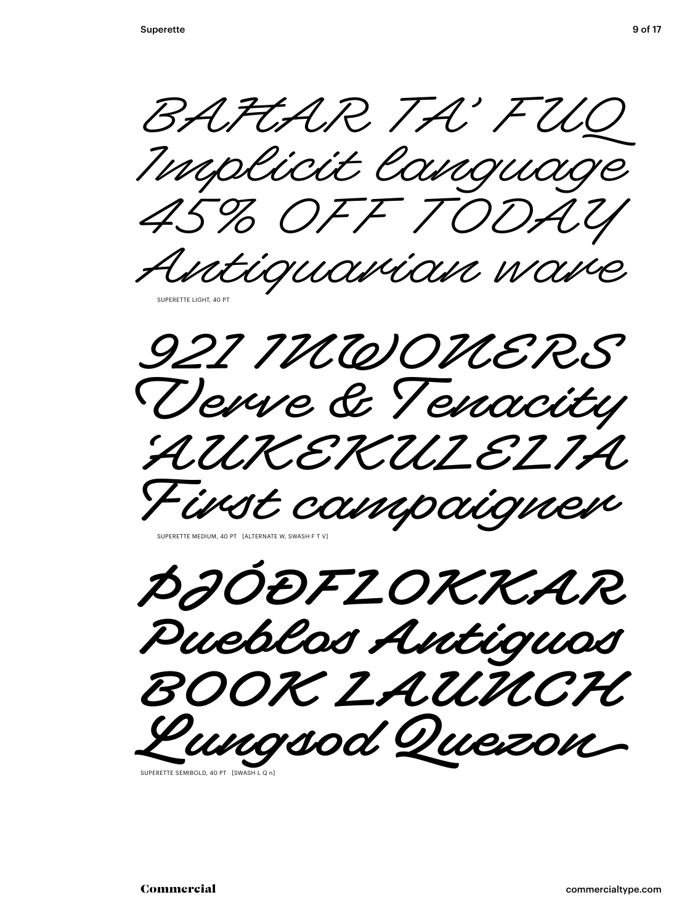BAFTAR TA' FUO Implicit language 45% OFF TODAY



921 THUODHERS Verre & Tenacity AUKEKULELIA. First campaignen

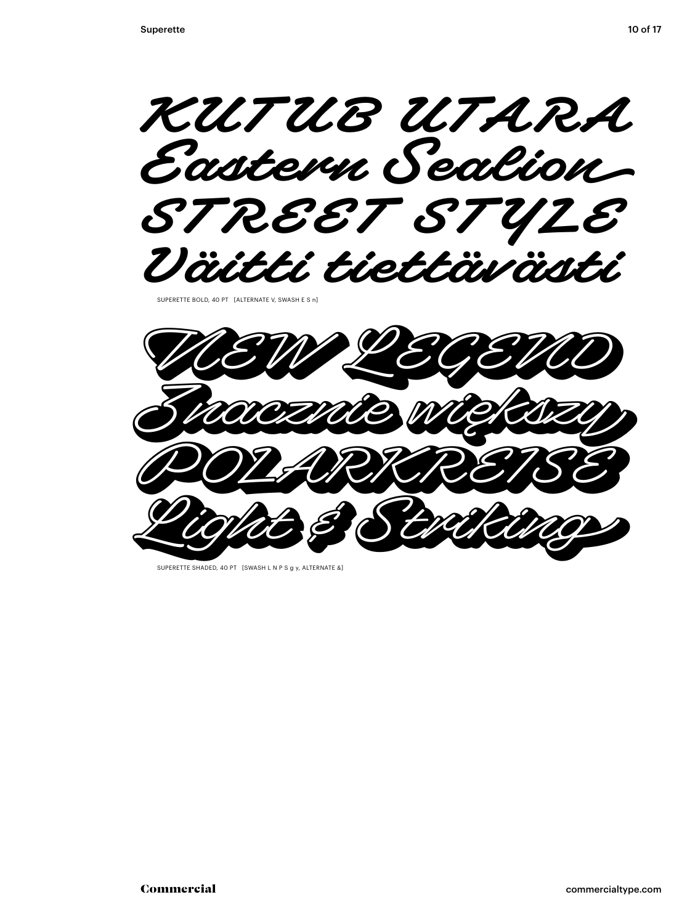**KUTUB UTARA Eastern Sealion STREET STYLE Väitti tiettävästi** 

SUPERETTE BOLD, 40 PT [ALTERNATE V, SWASH E S n]



SUPERETTE SHADED, 40 PT [SWASH L N P S g y, ALTERNATE &]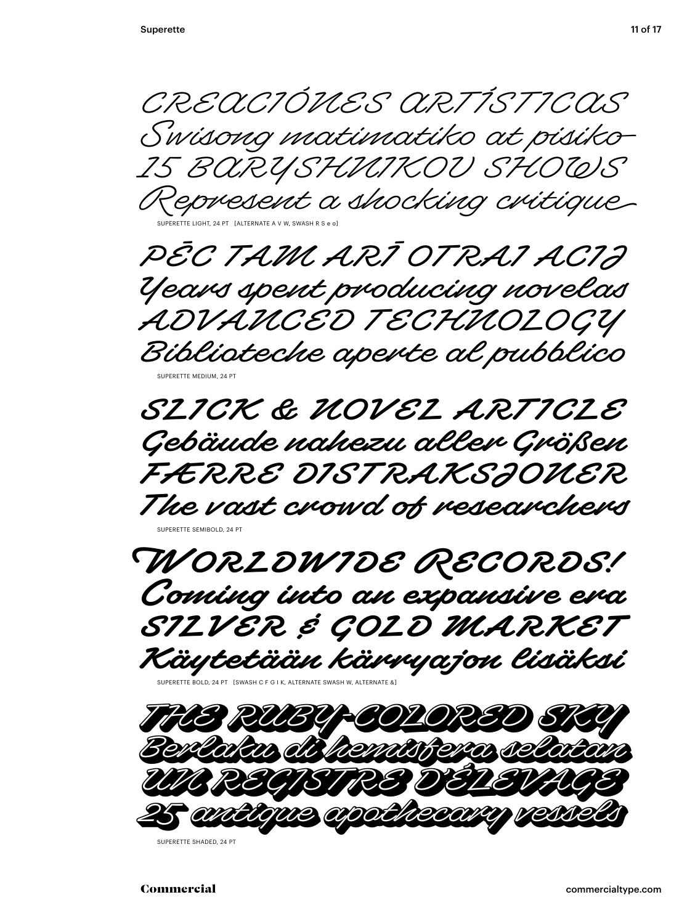CREACIÓNES ARTÍSTICAS Swisong matimatiko at pisiko 15 BARYSHNIKOV SHOWS Represent a shocking critique

SUPERETTE LIGHT, 24 PT [ALTERNATE A V W, SWASH R S e o]

PĒC TAM ARĪ OTRAI ACIJ Years spent producing novelas ADVANCED TECHNOLOGY Biblioteche aperte al pubblico SUPERETTE MEDIUM, 24 PT

**SLICK & NOVEL ARTICLE Gebäude nahezu aller Größen FÆRRE DISTRAKSJONER The vast crowd of researchers** SUPERETTE SEMIBOLD, 24 PT



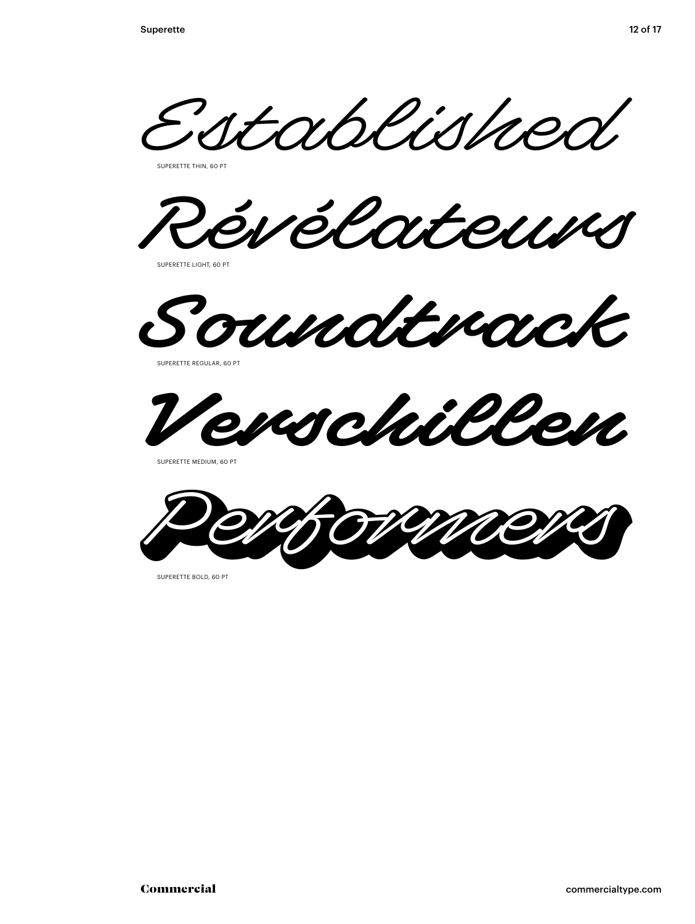Established

SUPERETTE THIN 60 PT

Révélateurs

SUPERETTE LIGHT, 60 PT

**Soundtrack**

SUPERETTE REGULAR, 60 PT



SUPERETTE MEDIUM, 60 PT



SUPERETTE BOLD, 60 PT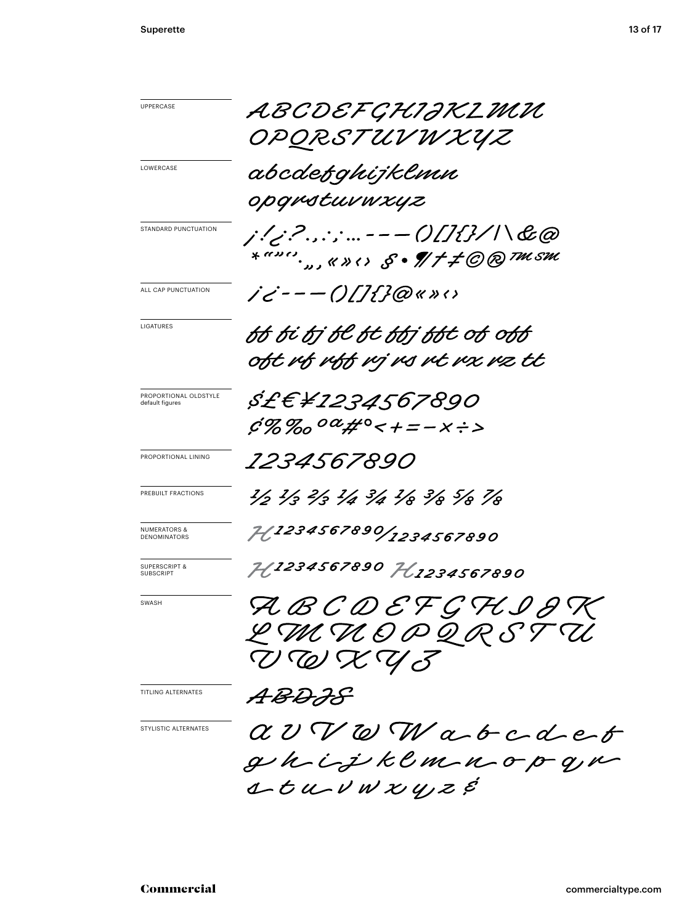| <b>UPPERCASE</b>                             | ABCDEFGHIJKLMU                                                          |
|----------------------------------------------|-------------------------------------------------------------------------|
|                                              | OPORSTUV W XYZ                                                          |
| LOWERCASE                                    | abcdefqhijklmn                                                          |
|                                              | opgrstuvwxyz                                                            |
| STANDARD PUNCTUATION                         | j!/;?.,:;---0[]{}/ \&@                                                  |
|                                              |                                                                         |
| ALL CAP PUNCTUATION                          |                                                                         |
| LIGATURES                                    | bb bi bj bl bt bbj bbt ob obb                                           |
|                                              | oft mf mff mj ms mt mx mz tt                                            |
| PROPORTIONAL OLDSTYLE<br>default figures     | <i>\$£€¥1234567890</i>                                                  |
|                                              | $6\%$ %0 $^{0}a$ # $^{0}<$ +=-X÷>                                       |
| PROPORTIONAL LINING                          | <i>1234567890</i>                                                       |
| PREBUILT FRACTIONS                           | 1/3 1/3 1/3 1/4 3/4 1/8 3/8 5/8 1/8                                     |
| <b>NUMERATORS &amp;</b><br>DENOMINATORS      | 74.1234567890/1234567890                                                |
| <b>SUPERSCRIPT &amp;</b><br><b>SUBSCRIPT</b> | 71,1234567890 71,1234567890                                             |
| SWASH                                        | RBCDEFGHIGK                                                             |
|                                              | L M V O P Q R S T U                                                     |
|                                              | VWXY3                                                                   |
| TITLING ALTERNATES                           | ABDJS                                                                   |
| STYLISTIC ALTERNATES                         | $\alpha$ $v$ $\nabla$ $\omega$ $\nabla$ $\alpha$ $\phi$ $c$ $d$ $e$ $t$ |
|                                              | ghijkemnopgn                                                            |
|                                              | $1 - t u - v w x y z e$                                                 |
|                                              |                                                                         |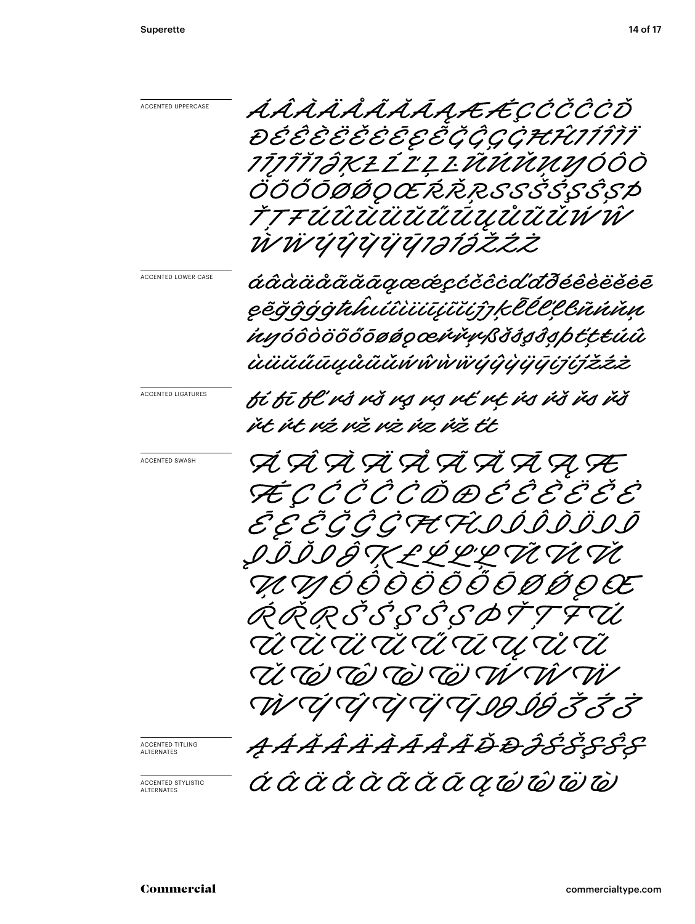| ACCENTED UPPERCASE               | ÁÂÀĂĂÃÃĀAAÆÉÇČČČČŎ                        |
|----------------------------------|-------------------------------------------|
|                                  | ĐÉÊÈËĚĖĒEËĞĞÇÇĦĤIJĨĨĬ                     |
|                                  | <i>1ĪJĨĬ1ĴĶŁĹĽĻĿŨŬŪŪŅŊŎÔŎ</i>             |
|                                  | ÖÕŐŌØØQŒŔŘŖSSŠŚŞŜȘÞ                       |
|                                  | <i>ŤŢŦÚŨŨŪÜŰŰŰŪŲŮŨŨŬŴŴ</i>                |
|                                  | ŴŴÝŶŶŸŸŢ1ƏĨƏŽŽŻ                           |
| ACCENTED LOWER CASE              | áâàäåããāąææçcččcďđðéêèëĕĕē                |
|                                  | ęẽğĝģġthiúîìiūiŭijzklélllinnn             |
|                                  | inyóôòööőōøøqœivĭvySšśsŝsþťttúû           |
|                                  | <i>ùüŭűūųůũŭŃŵẁijŷỳijijijźžźż</i>         |
| ACCENTED LIGATURES               | fi fī fi vš vš vs vs vi vi vi vs vš vs vš |
|                                  | ửt ứt vá và và va va tà tt                |
| ACCENTED SWASH                   | Á Á À À À À À À À A Æ                     |
|                                  | ÆÇĊĊĊĊŎ <i>ĎŒ</i> ĔĔĔĔĔ                   |
|                                  | ĔĔĔĞĞĞĦĤIJĬĬĬĨIJĪ                         |
|                                  | QĨĬĬŔKĿĹĹĿŢŨŴŬ                            |
|                                  | <i>Ú V Ó Ô Ô Ô Ô Ô Ô Ō Ø Ő Q Œ</i>        |
|                                  | ŔŔŖŠŚĢŜȘØŤŢŦŨ                             |
|                                  | ŴŬŬŬŴŴŨŨŴŴŨ                               |
|                                  | Ú VÌ VÀ VÀ CÒ CÒ VÌ VÌ                    |
|                                  | ŴŨŒŶŨŢŢŌĿ                                 |
| ACCENTED TITLING<br>ALTERNATES   | <i>AÁĂÂÄÀĀÂÂÕĐĴŚŠȘŜŞ</i>                  |
|                                  |                                           |
| ACCENTED STYLISTIC<br>ALTERNATES | áâäååããããk                                |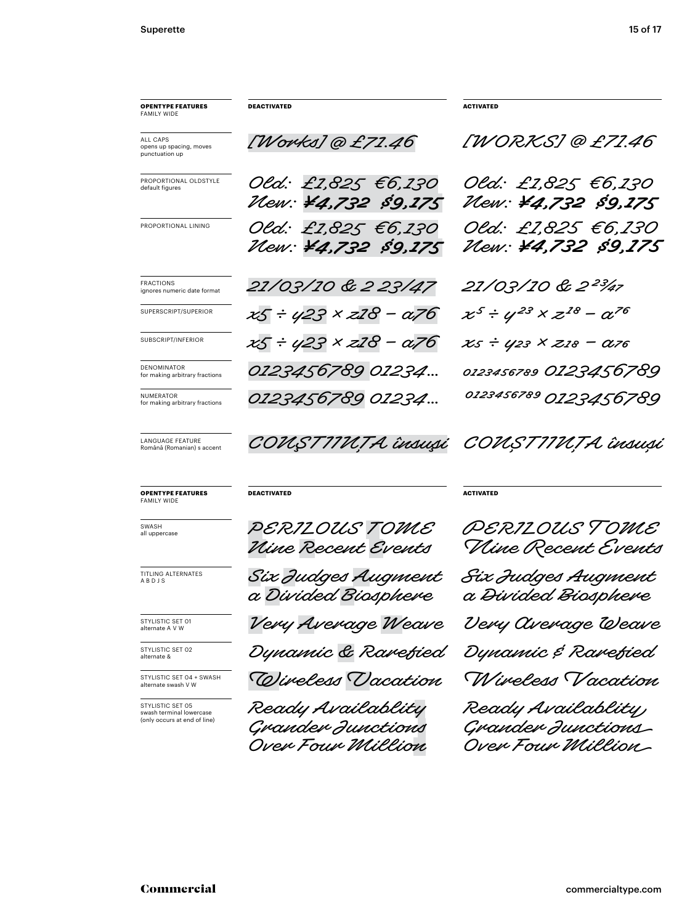| <b>OPENTYPE FEATURES</b><br><b>FAMILY WIDE</b>                               | <b>DEACTIVATED</b>                                          | <b>ACTIVATED</b>                                             |
|------------------------------------------------------------------------------|-------------------------------------------------------------|--------------------------------------------------------------|
| <b>ALL CAPS</b><br>opens up spacing, moves<br>punctuation up                 | [Works] @ £71.46                                            | [WORKS]@£71.46                                               |
| PROPORTIONAL OLDSTYLE<br>default figures                                     | Old: £1,825 €6,130<br>Vew: ¥4,732 \$9,175                   | Old: £2,825 €6,230<br>Vew: ¥4,732 \$9,175                    |
| PROPORTIONAL LINING                                                          | Old: £1,825 €6,130<br>Vew: ¥4,732 \$9,175                   | Old: £1,825 €6,130<br>Vlew: ¥4,732 \$9,175                   |
| <b>FRACTIONS</b><br>ignores numeric date format                              | 21/03/10 & 2 23/47                                          | 21/03/10 & 2 <sup>23</sup> /47                               |
| SUPERSCRIPT/SUPERIOR                                                         | $x5 \div y23 \times x28 - x76$                              | $x^5 \div y^{23} \times z^{18} - \alpha^{76}$                |
| SUBSCRIPT/INFERIOR                                                           | $x5 \div y23 \times x28 - x76$                              | xs ÷ y23 × z18 – a76                                         |
| DENOMINATOR<br>for making arbitrary fractions                                | 0123456789 01234                                            | 0123456789 0123456789                                        |
| NUMERATOR<br>for making arbitrary fractions                                  | 0123456789 01234                                            | 0123456789 0123456789                                        |
| <b>LANGUAGE FEATURE</b><br>Română (Romanian) s accent                        |                                                             | COUSTIIUȚA însuși COUSTIIUȚA însuși                          |
| <b>OPENTYPE FEATURES</b><br><b>FAMILY WIDE</b>                               | <b>DEACTIVATED</b>                                          | <b>ACTIVATED</b>                                             |
| SWASH<br>all uppercase                                                       | PERILOUS TOME<br>Vine Recent Events                         | <i>PERILOUS TOME</i><br>Vline Recent Events                  |
| TITLING ALTERNATES<br>ABDJS                                                  | Six Judges Augment<br>a Divided Biosphere                   | Six Judges Augment<br>a Divided Biosphere                    |
| STYLISTIC SET 01<br>alternate A V W                                          | Very Average Weave                                          | Very Average Weave                                           |
|                                                                              |                                                             |                                                              |
| STYLISTIC SET 02<br>alternate &                                              | Dynamic & Ravefied                                          | Dynamic & Rarefied                                           |
| STYLISTIC SET 04 + SWASH<br>alternate swash V W                              | Wireless Dacation                                           | Wireless Vacation                                            |
| STYLISTIC SET 05<br>swash terminal lowercase<br>(only occurs at end of line) | Ready Availablity<br>Grander Junctions<br>Over Four Million | Ready Availablity,<br>Grander Junctions<br>Over Four Million |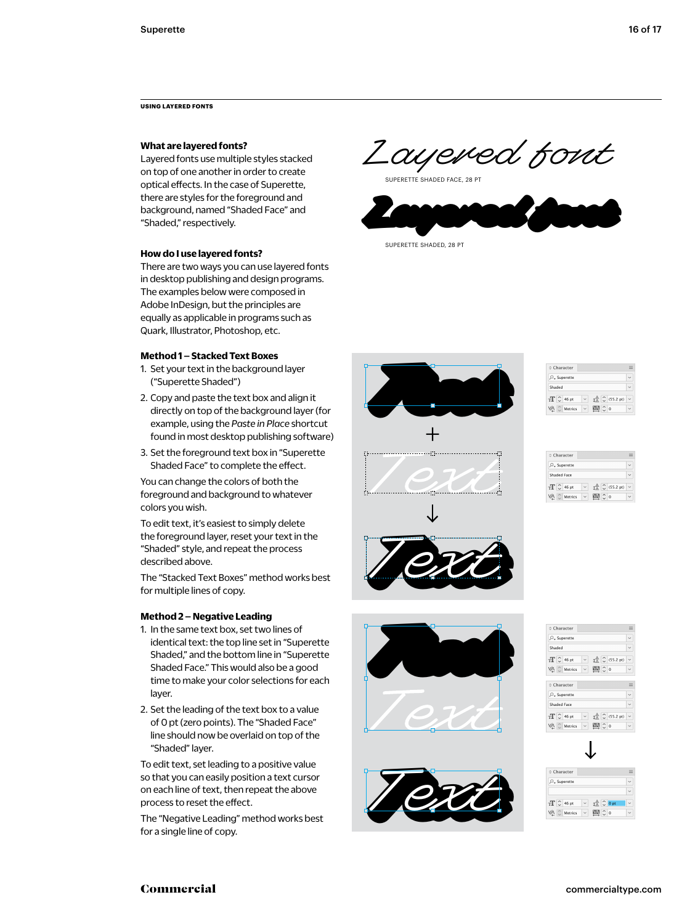**USING LAYERED FONTS**

# **What are layered fonts?**

Layered fonts use multiple styles stacked on top of one another in order to create optical effects. In the case of Superette, there are styles for the foreground and background, named "Shaded Face" and "Shaded," respectively.

### **How do I use layered fonts?**

There are two ways you can use layered fonts in desktop publishing and design programs. The examples below were composed in Adobe InDesign, but the principles are equally as applicable in programs such as Quark, Illustrator, Photoshop, etc.

## **Method 1 – Stacked Text Boxes**

- 1. Set your text in the background layer ("Superette Shaded")
- 2. Copy and paste the text box and align it directly on top of the background layer (for example, using the *Paste in Place* shortcut found in most desktop publishing software)
- 3. Set the foreground text box in "Superette Shaded Face" to complete the effect.

You can change the colors of both the foreground and background to whatever colors you wish.

To edit text, it's easiest to simply delete the foreground layer, reset your text in the "Shaded" style, and repeat the process described above.

The "Stacked Text Boxes" method works best for multiple lines of copy.

## **Method 2 – Negative Leading**

- 1. In the same text box, set two lines of identical text: the top line set in "Superette Shaded," and the bottom line in "Superette Shaded Face." This would also be a good time to make your color selections for each layer.
- 2. Set the leading of the text box to a value of 0 pt (zero points). The "Shaded Face" line should now be overlaid on top of the "Shaded" layer.

To edit text, set leading to a positive value so that you can easily position a text cursor on each line of text, then repeat the above process to reset the effect.

The "Negative Leading" method works best for a single line of copy.

Layered font

SUPERETTE SHADED FACE, 28 PT



**Text** +

| Character           |                                                                  |  |
|---------------------|------------------------------------------------------------------|--|
| $Oz$ Superette      |                                                                  |  |
| Shaded              |                                                                  |  |
| $T$ $\degree$ 46 pt | $\downarrow$ <sup>A</sup> $\stackrel{\triangle}{\sim}$ (55.2 pt) |  |
| Metrics             | $\overline{0}$                                                   |  |

| ○ Character                   |  |     |                                                                                            |  |
|-------------------------------|--|-----|--------------------------------------------------------------------------------------------|--|
| O_ Superette                  |  |     |                                                                                            |  |
| Shaded Face                   |  |     |                                                                                            |  |
| $T$ $\degree$ $\degree$ 46 pt |  |     | $\downarrow$ $\stackrel{\triangle}{\triangle}$ $\stackrel{\triangle}{\triangle}$ (55.2 pt) |  |
| Metrics                       |  | ∩ o |                                                                                            |  |



**Text** 

| Character                        |                   |                                 |                                            |
|----------------------------------|-------------------|---------------------------------|--------------------------------------------|
| C_ Superette                     |                   |                                 |                                            |
| Shaded                           |                   |                                 |                                            |
| $T\stackrel{\frown}{\sim}$ 46 pt | $\backsim$ $\mid$ |                                 | $\pm \frac{A}{A}$ $\binom{A}{C}$ (55.2 pt) |
| VA C Metrics                     |                   | $\vee$ M <sub>2</sub> $\circ$ o |                                            |
| Character                        |                   |                                 |                                            |
|                                  |                   |                                 |                                            |
| C_ Superette                     |                   |                                 |                                            |
| Shaded Face                      |                   |                                 |                                            |
| $T$ $\circ$ 46 pt                |                   |                                 | $\pm \frac{A}{A}$ $\binom{C}{C}$ (55.2 pt) |



| Character                                                            |  |
|----------------------------------------------------------------------|--|
| $Oz$ Superette                                                       |  |
|                                                                      |  |
| $T$ $\circ$ 46 pt<br>$\sharp^{\mathbb{A}}_{\mathbb{A}}$ $\circ$ 0 pt |  |
| Metrics<br>$\overline{0}$                                            |  |